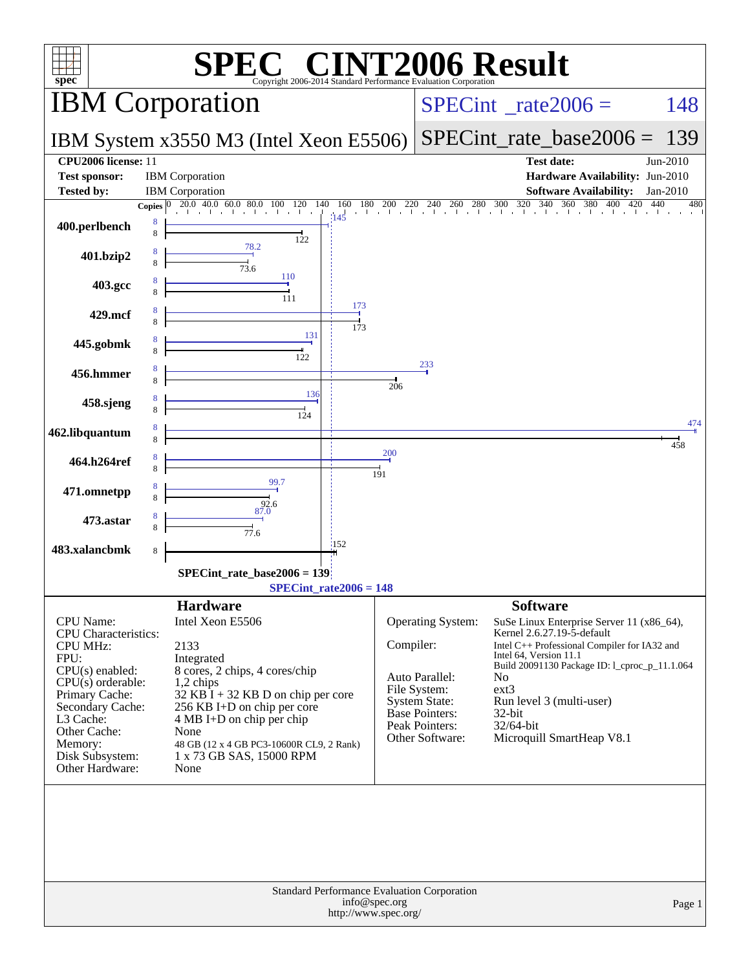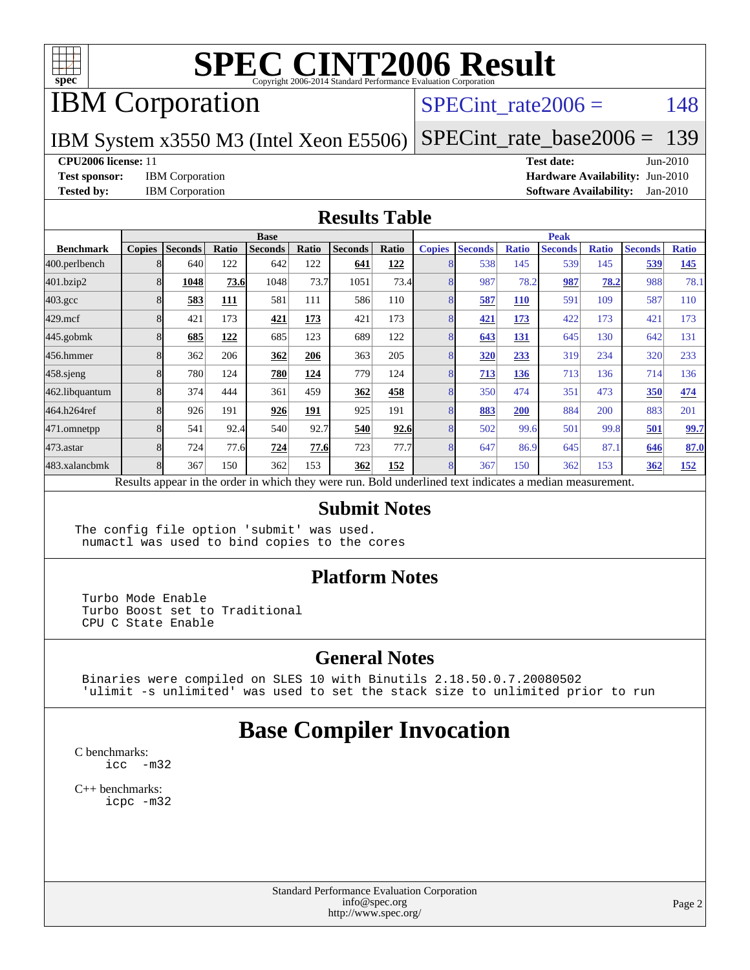

## IBM Corporation

#### SPECint rate $2006 = 148$

IBM System x3550 M3 (Intel Xeon E5506)

[SPECint\\_rate\\_base2006 =](http://www.spec.org/auto/cpu2006/Docs/result-fields.html#SPECintratebase2006) 139

#### **[CPU2006 license:](http://www.spec.org/auto/cpu2006/Docs/result-fields.html#CPU2006license)** 11 **[Test date:](http://www.spec.org/auto/cpu2006/Docs/result-fields.html#Testdate)** Jun-2010

**[Test sponsor:](http://www.spec.org/auto/cpu2006/Docs/result-fields.html#Testsponsor)** IBM Corporation **[Hardware Availability:](http://www.spec.org/auto/cpu2006/Docs/result-fields.html#HardwareAvailability)** Jun-2010

**[Tested by:](http://www.spec.org/auto/cpu2006/Docs/result-fields.html#Testedby)** IBM Corporation **[Software Availability:](http://www.spec.org/auto/cpu2006/Docs/result-fields.html#SoftwareAvailability)** Jan-2010

#### **[Results Table](http://www.spec.org/auto/cpu2006/Docs/result-fields.html#ResultsTable)**

|                    | <b>Base</b>   |                |       |                                                                                                          |            |                |       | <b>Peak</b>   |                |              |                |              |                |              |
|--------------------|---------------|----------------|-------|----------------------------------------------------------------------------------------------------------|------------|----------------|-------|---------------|----------------|--------------|----------------|--------------|----------------|--------------|
| <b>Benchmark</b>   | <b>Copies</b> | <b>Seconds</b> | Ratio | <b>Seconds</b>                                                                                           | Ratio      | <b>Seconds</b> | Ratio | <b>Copies</b> | <b>Seconds</b> | <b>Ratio</b> | <b>Seconds</b> | <b>Ratio</b> | <b>Seconds</b> | <b>Ratio</b> |
| 400.perlbench      |               | 640            | 122   | 642                                                                                                      | 122        | 641            | 122   | 8             | 538            | 145          | 539            | 145          | 539            | 145          |
| 401.bzip2          |               | 1048           | 73.6  | 1048                                                                                                     | 73.7       | 1051           | 73.4  | 8             | 987            | 78.2         | 987            | 78.2         | 988            | 78.1         |
| $403.\mathrm{gcc}$ |               | 583            | 111   | 581                                                                                                      | 111        | 586            | 110   | 8             | 587            | <b>110</b>   | 591            | 109          | 587            | 110          |
| $429$ .mcf         |               | 421            | 173   | 421                                                                                                      | 173        | 421            | 173   | 8             | 421            | 173          | 422            | 173          | 421            | 173          |
| $445$ .gobmk       |               | 685            | 122   | 685                                                                                                      | 123        | 689            | 122   | 8             | 643            | 131          | 645            | 130          | 642            | 131          |
| 456.hmmer          |               | 362            | 206   | 362                                                                                                      | 206        | 363            | 205   | 8             | <b>320</b>     | 233          | 319            | 234          | 320            | 233          |
| $458$ .sjeng       |               | 780            | 124   | 780                                                                                                      | <u>124</u> | 779            | 124   | 8             | 713            | 136          | 713            | 136          | 714            | 136          |
| 462.libquantum     |               | 374            | 444   | 361                                                                                                      | 459        | 362            | 458   | 8             | 350            | 474          | 351            | 473          | 350            | 474          |
| 464.h264ref        |               | 926            | 191   | 926                                                                                                      | 191        | 925            | 191   | 8             | 883            | 200          | 884            | 200          | 883            | 201          |
| 471.omnetpp        |               | 541            | 92.4  | 540                                                                                                      | 92.7       | 540            | 92.6  | 8             | 502            | 99.6         | 501            | 99.8         | 501            | 99.7         |
| $473$ . astar      |               | 724            | 77.6  | 724                                                                                                      | 77.6       | 723            | 77.7  | 8             | 647            | 86.9         | 645            | 87.1         | 646            | 87.0         |
| 483.xalancbmk      |               | 367            | 150   | 362                                                                                                      | 153        | 362            | 152   | 8             | 367            | 150          | 362            | 153          | 362            | <b>152</b>   |
|                    |               |                |       | Results appear in the order in which they were run. Bold underlined text indicates a median measurement. |            |                |       |               |                |              |                |              |                |              |

#### **[Submit Notes](http://www.spec.org/auto/cpu2006/Docs/result-fields.html#SubmitNotes)**

The config file option 'submit' was used. numactl was used to bind copies to the cores

#### **[Platform Notes](http://www.spec.org/auto/cpu2006/Docs/result-fields.html#PlatformNotes)**

 Turbo Mode Enable Turbo Boost set to Traditional CPU C State Enable

#### **[General Notes](http://www.spec.org/auto/cpu2006/Docs/result-fields.html#GeneralNotes)**

 Binaries were compiled on SLES 10 with Binutils 2.18.50.0.7.20080502 'ulimit -s unlimited' was used to set the stack size to unlimited prior to run

### **[Base Compiler Invocation](http://www.spec.org/auto/cpu2006/Docs/result-fields.html#BaseCompilerInvocation)**

[C benchmarks](http://www.spec.org/auto/cpu2006/Docs/result-fields.html#Cbenchmarks): [icc -m32](http://www.spec.org/cpu2006/results/res2010q3/cpu2006-20100621-11826.flags.html#user_CCbase_intel_icc_32bit_5ff4a39e364c98233615fdd38438c6f2)

[C++ benchmarks:](http://www.spec.org/auto/cpu2006/Docs/result-fields.html#CXXbenchmarks) [icpc -m32](http://www.spec.org/cpu2006/results/res2010q3/cpu2006-20100621-11826.flags.html#user_CXXbase_intel_icpc_32bit_4e5a5ef1a53fd332b3c49e69c3330699)

> Standard Performance Evaluation Corporation [info@spec.org](mailto:info@spec.org) <http://www.spec.org/>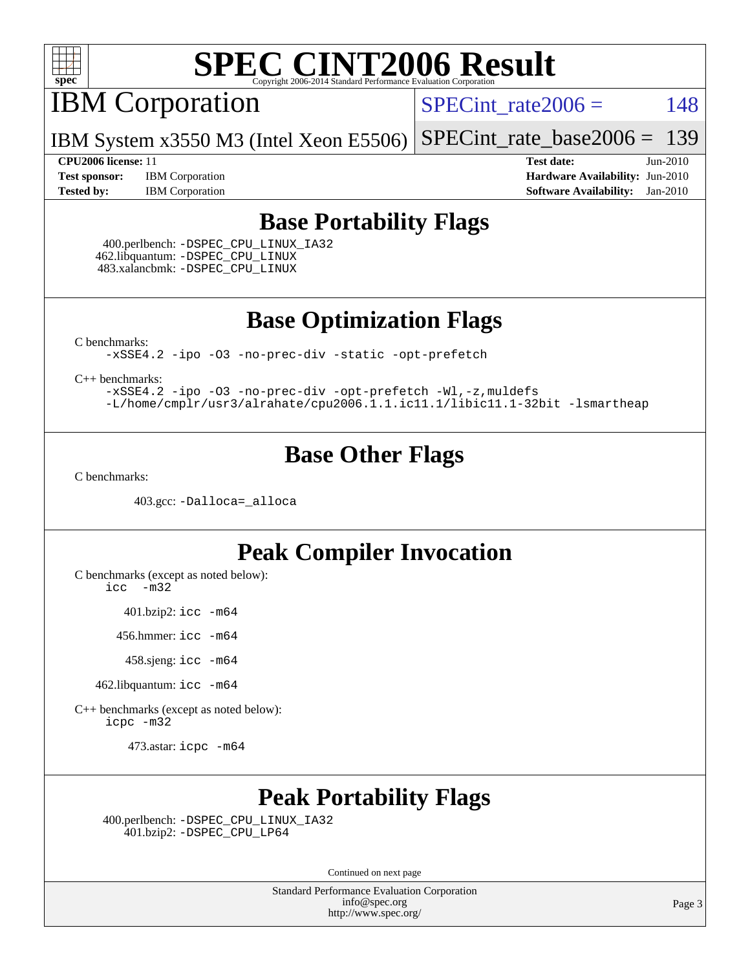

IBM Corporation

 $SPECTnt_rate2006 = 148$ 

IBM System x3550 M3 (Intel Xeon E5506) [SPECint\\_rate\\_base2006 =](http://www.spec.org/auto/cpu2006/Docs/result-fields.html#SPECintratebase2006) 139

**[Test sponsor:](http://www.spec.org/auto/cpu2006/Docs/result-fields.html#Testsponsor)** IBM Corporation **[Hardware Availability:](http://www.spec.org/auto/cpu2006/Docs/result-fields.html#HardwareAvailability)** Jun-2010 **[Tested by:](http://www.spec.org/auto/cpu2006/Docs/result-fields.html#Testedby)** IBM Corporation **[Software Availability:](http://www.spec.org/auto/cpu2006/Docs/result-fields.html#SoftwareAvailability)** Jan-2010

**[CPU2006 license:](http://www.spec.org/auto/cpu2006/Docs/result-fields.html#CPU2006license)** 11 **[Test date:](http://www.spec.org/auto/cpu2006/Docs/result-fields.html#Testdate)** Jun-2010

### **[Base Portability Flags](http://www.spec.org/auto/cpu2006/Docs/result-fields.html#BasePortabilityFlags)**

 400.perlbench: [-DSPEC\\_CPU\\_LINUX\\_IA32](http://www.spec.org/cpu2006/results/res2010q3/cpu2006-20100621-11826.flags.html#b400.perlbench_baseCPORTABILITY_DSPEC_CPU_LINUX_IA32) 462.libquantum: [-DSPEC\\_CPU\\_LINUX](http://www.spec.org/cpu2006/results/res2010q3/cpu2006-20100621-11826.flags.html#b462.libquantum_baseCPORTABILITY_DSPEC_CPU_LINUX) 483.xalancbmk: [-DSPEC\\_CPU\\_LINUX](http://www.spec.org/cpu2006/results/res2010q3/cpu2006-20100621-11826.flags.html#b483.xalancbmk_baseCXXPORTABILITY_DSPEC_CPU_LINUX)

**[Base Optimization Flags](http://www.spec.org/auto/cpu2006/Docs/result-fields.html#BaseOptimizationFlags)**

[C benchmarks](http://www.spec.org/auto/cpu2006/Docs/result-fields.html#Cbenchmarks):

[-xSSE4.2](http://www.spec.org/cpu2006/results/res2010q3/cpu2006-20100621-11826.flags.html#user_CCbase_f-xSSE42_f91528193cf0b216347adb8b939d4107) [-ipo](http://www.spec.org/cpu2006/results/res2010q3/cpu2006-20100621-11826.flags.html#user_CCbase_f-ipo) [-O3](http://www.spec.org/cpu2006/results/res2010q3/cpu2006-20100621-11826.flags.html#user_CCbase_f-O3) [-no-prec-div](http://www.spec.org/cpu2006/results/res2010q3/cpu2006-20100621-11826.flags.html#user_CCbase_f-no-prec-div) [-static](http://www.spec.org/cpu2006/results/res2010q3/cpu2006-20100621-11826.flags.html#user_CCbase_f-static) [-opt-prefetch](http://www.spec.org/cpu2006/results/res2010q3/cpu2006-20100621-11826.flags.html#user_CCbase_f-opt-prefetch)

[C++ benchmarks:](http://www.spec.org/auto/cpu2006/Docs/result-fields.html#CXXbenchmarks)

[-xSSE4.2](http://www.spec.org/cpu2006/results/res2010q3/cpu2006-20100621-11826.flags.html#user_CXXbase_f-xSSE42_f91528193cf0b216347adb8b939d4107) [-ipo](http://www.spec.org/cpu2006/results/res2010q3/cpu2006-20100621-11826.flags.html#user_CXXbase_f-ipo) [-O3](http://www.spec.org/cpu2006/results/res2010q3/cpu2006-20100621-11826.flags.html#user_CXXbase_f-O3) [-no-prec-div](http://www.spec.org/cpu2006/results/res2010q3/cpu2006-20100621-11826.flags.html#user_CXXbase_f-no-prec-div) [-opt-prefetch](http://www.spec.org/cpu2006/results/res2010q3/cpu2006-20100621-11826.flags.html#user_CXXbase_f-opt-prefetch) [-Wl,-z,muldefs](http://www.spec.org/cpu2006/results/res2010q3/cpu2006-20100621-11826.flags.html#user_CXXbase_link_force_multiple1_74079c344b956b9658436fd1b6dd3a8a) [-L/home/cmplr/usr3/alrahate/cpu2006.1.1.ic11.1/libic11.1-32bit -lsmartheap](http://www.spec.org/cpu2006/results/res2010q3/cpu2006-20100621-11826.flags.html#user_CXXbase_SmartHeap_d86dffe4a79b79ef8890d5cce17030c3)

### **[Base Other Flags](http://www.spec.org/auto/cpu2006/Docs/result-fields.html#BaseOtherFlags)**

[C benchmarks](http://www.spec.org/auto/cpu2006/Docs/result-fields.html#Cbenchmarks):

403.gcc: [-Dalloca=\\_alloca](http://www.spec.org/cpu2006/results/res2010q3/cpu2006-20100621-11826.flags.html#b403.gcc_baseEXTRA_CFLAGS_Dalloca_be3056838c12de2578596ca5467af7f3)

### **[Peak Compiler Invocation](http://www.spec.org/auto/cpu2006/Docs/result-fields.html#PeakCompilerInvocation)**

[C benchmarks \(except as noted below\)](http://www.spec.org/auto/cpu2006/Docs/result-fields.html#Cbenchmarksexceptasnotedbelow):

[icc -m32](http://www.spec.org/cpu2006/results/res2010q3/cpu2006-20100621-11826.flags.html#user_CCpeak_intel_icc_32bit_5ff4a39e364c98233615fdd38438c6f2)

401.bzip2: [icc -m64](http://www.spec.org/cpu2006/results/res2010q3/cpu2006-20100621-11826.flags.html#user_peakCCLD401_bzip2_intel_icc_64bit_bda6cc9af1fdbb0edc3795bac97ada53)

456.hmmer: [icc -m64](http://www.spec.org/cpu2006/results/res2010q3/cpu2006-20100621-11826.flags.html#user_peakCCLD456_hmmer_intel_icc_64bit_bda6cc9af1fdbb0edc3795bac97ada53)

458.sjeng: [icc -m64](http://www.spec.org/cpu2006/results/res2010q3/cpu2006-20100621-11826.flags.html#user_peakCCLD458_sjeng_intel_icc_64bit_bda6cc9af1fdbb0edc3795bac97ada53)

462.libquantum: [icc -m64](http://www.spec.org/cpu2006/results/res2010q3/cpu2006-20100621-11826.flags.html#user_peakCCLD462_libquantum_intel_icc_64bit_bda6cc9af1fdbb0edc3795bac97ada53)

[C++ benchmarks \(except as noted below\):](http://www.spec.org/auto/cpu2006/Docs/result-fields.html#CXXbenchmarksexceptasnotedbelow) [icpc -m32](http://www.spec.org/cpu2006/results/res2010q3/cpu2006-20100621-11826.flags.html#user_CXXpeak_intel_icpc_32bit_4e5a5ef1a53fd332b3c49e69c3330699)

473.astar: [icpc -m64](http://www.spec.org/cpu2006/results/res2010q3/cpu2006-20100621-11826.flags.html#user_peakCXXLD473_astar_intel_icpc_64bit_fc66a5337ce925472a5c54ad6a0de310)

## **[Peak Portability Flags](http://www.spec.org/auto/cpu2006/Docs/result-fields.html#PeakPortabilityFlags)**

 400.perlbench: [-DSPEC\\_CPU\\_LINUX\\_IA32](http://www.spec.org/cpu2006/results/res2010q3/cpu2006-20100621-11826.flags.html#b400.perlbench_peakCPORTABILITY_DSPEC_CPU_LINUX_IA32) 401.bzip2: [-DSPEC\\_CPU\\_LP64](http://www.spec.org/cpu2006/results/res2010q3/cpu2006-20100621-11826.flags.html#suite_peakCPORTABILITY401_bzip2_DSPEC_CPU_LP64)

Continued on next page

Standard Performance Evaluation Corporation [info@spec.org](mailto:info@spec.org) <http://www.spec.org/>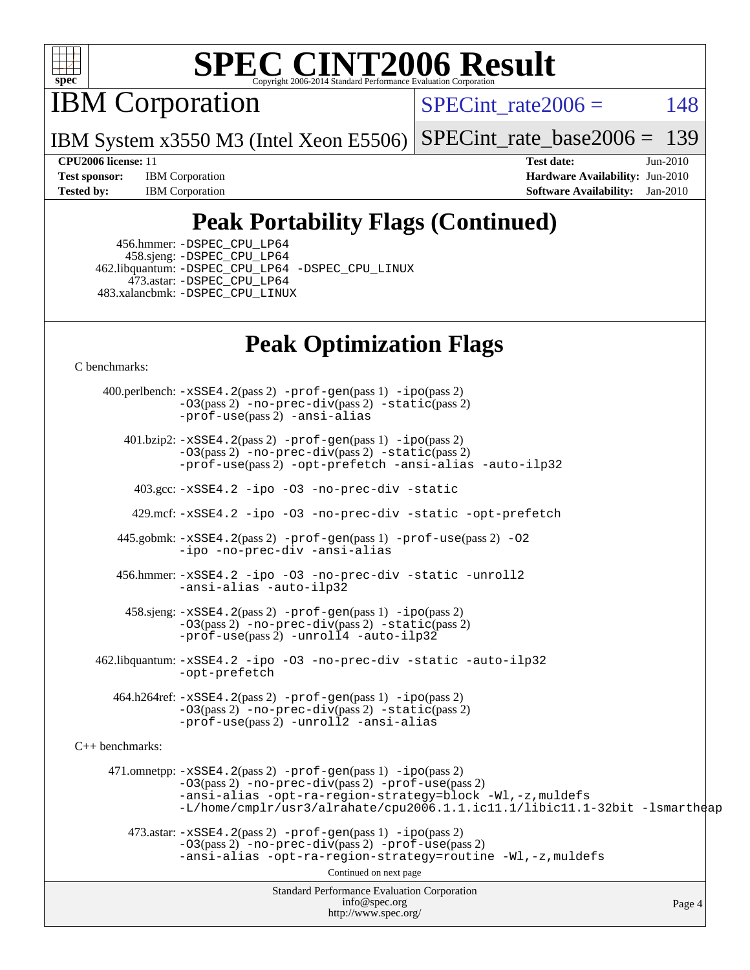

IBM Corporation

SPECint rate $2006 = 148$ 

IBM System x3550 M3 (Intel Xeon E5506) [SPECint\\_rate\\_base2006 =](http://www.spec.org/auto/cpu2006/Docs/result-fields.html#SPECintratebase2006) 139

**[Test sponsor:](http://www.spec.org/auto/cpu2006/Docs/result-fields.html#Testsponsor)** IBM Corporation **[Hardware Availability:](http://www.spec.org/auto/cpu2006/Docs/result-fields.html#HardwareAvailability)** Jun-2010 **[Tested by:](http://www.spec.org/auto/cpu2006/Docs/result-fields.html#Testedby)** IBM Corporation **[Software Availability:](http://www.spec.org/auto/cpu2006/Docs/result-fields.html#SoftwareAvailability)** Jan-2010

**[CPU2006 license:](http://www.spec.org/auto/cpu2006/Docs/result-fields.html#CPU2006license)** 11 **[Test date:](http://www.spec.org/auto/cpu2006/Docs/result-fields.html#Testdate)** Jun-2010

## **[Peak Portability Flags \(Continued\)](http://www.spec.org/auto/cpu2006/Docs/result-fields.html#PeakPortabilityFlags)**

 456.hmmer: [-DSPEC\\_CPU\\_LP64](http://www.spec.org/cpu2006/results/res2010q3/cpu2006-20100621-11826.flags.html#suite_peakCPORTABILITY456_hmmer_DSPEC_CPU_LP64) 458.sjeng: [-DSPEC\\_CPU\\_LP64](http://www.spec.org/cpu2006/results/res2010q3/cpu2006-20100621-11826.flags.html#suite_peakCPORTABILITY458_sjeng_DSPEC_CPU_LP64) 462.libquantum: [-DSPEC\\_CPU\\_LP64](http://www.spec.org/cpu2006/results/res2010q3/cpu2006-20100621-11826.flags.html#suite_peakCPORTABILITY462_libquantum_DSPEC_CPU_LP64) [-DSPEC\\_CPU\\_LINUX](http://www.spec.org/cpu2006/results/res2010q3/cpu2006-20100621-11826.flags.html#b462.libquantum_peakCPORTABILITY_DSPEC_CPU_LINUX) 473.astar: [-DSPEC\\_CPU\\_LP64](http://www.spec.org/cpu2006/results/res2010q3/cpu2006-20100621-11826.flags.html#suite_peakCXXPORTABILITY473_astar_DSPEC_CPU_LP64) 483.xalancbmk: [-DSPEC\\_CPU\\_LINUX](http://www.spec.org/cpu2006/results/res2010q3/cpu2006-20100621-11826.flags.html#b483.xalancbmk_peakCXXPORTABILITY_DSPEC_CPU_LINUX)

## **[Peak Optimization Flags](http://www.spec.org/auto/cpu2006/Docs/result-fields.html#PeakOptimizationFlags)**

[C benchmarks](http://www.spec.org/auto/cpu2006/Docs/result-fields.html#Cbenchmarks):

Standard Performance Evaluation Corporation [info@spec.org](mailto:info@spec.org) <http://www.spec.org/> Page 4 400.perlbench: [-xSSE4.2](http://www.spec.org/cpu2006/results/res2010q3/cpu2006-20100621-11826.flags.html#user_peakPASS2_CFLAGSPASS2_LDCFLAGS400_perlbench_f-xSSE42_f91528193cf0b216347adb8b939d4107)(pass 2) [-prof-gen](http://www.spec.org/cpu2006/results/res2010q3/cpu2006-20100621-11826.flags.html#user_peakPASS1_CFLAGSPASS1_LDCFLAGS400_perlbench_prof_gen_e43856698f6ca7b7e442dfd80e94a8fc)(pass 1) [-ipo](http://www.spec.org/cpu2006/results/res2010q3/cpu2006-20100621-11826.flags.html#user_peakPASS2_CFLAGSPASS2_LDCFLAGS400_perlbench_f-ipo)(pass 2) [-O3](http://www.spec.org/cpu2006/results/res2010q3/cpu2006-20100621-11826.flags.html#user_peakPASS2_CFLAGSPASS2_LDCFLAGS400_perlbench_f-O3)(pass 2) [-no-prec-div](http://www.spec.org/cpu2006/results/res2010q3/cpu2006-20100621-11826.flags.html#user_peakPASS2_CFLAGSPASS2_LDCFLAGS400_perlbench_f-no-prec-div)(pass 2) [-static](http://www.spec.org/cpu2006/results/res2010q3/cpu2006-20100621-11826.flags.html#user_peakPASS2_CFLAGSPASS2_LDCFLAGS400_perlbench_f-static)(pass 2) [-prof-use](http://www.spec.org/cpu2006/results/res2010q3/cpu2006-20100621-11826.flags.html#user_peakPASS2_CFLAGSPASS2_LDCFLAGS400_perlbench_prof_use_bccf7792157ff70d64e32fe3e1250b55)(pass 2) [-ansi-alias](http://www.spec.org/cpu2006/results/res2010q3/cpu2006-20100621-11826.flags.html#user_peakCOPTIMIZE400_perlbench_f-ansi-alias) 401.bzip2: [-xSSE4.2](http://www.spec.org/cpu2006/results/res2010q3/cpu2006-20100621-11826.flags.html#user_peakPASS2_CFLAGSPASS2_LDCFLAGS401_bzip2_f-xSSE42_f91528193cf0b216347adb8b939d4107)(pass 2) [-prof-gen](http://www.spec.org/cpu2006/results/res2010q3/cpu2006-20100621-11826.flags.html#user_peakPASS1_CFLAGSPASS1_LDCFLAGS401_bzip2_prof_gen_e43856698f6ca7b7e442dfd80e94a8fc)(pass 1) [-ipo](http://www.spec.org/cpu2006/results/res2010q3/cpu2006-20100621-11826.flags.html#user_peakPASS2_CFLAGSPASS2_LDCFLAGS401_bzip2_f-ipo)(pass 2) [-O3](http://www.spec.org/cpu2006/results/res2010q3/cpu2006-20100621-11826.flags.html#user_peakPASS2_CFLAGSPASS2_LDCFLAGS401_bzip2_f-O3)(pass 2) [-no-prec-div](http://www.spec.org/cpu2006/results/res2010q3/cpu2006-20100621-11826.flags.html#user_peakPASS2_CFLAGSPASS2_LDCFLAGS401_bzip2_f-no-prec-div)(pass 2) [-static](http://www.spec.org/cpu2006/results/res2010q3/cpu2006-20100621-11826.flags.html#user_peakPASS2_CFLAGSPASS2_LDCFLAGS401_bzip2_f-static)(pass 2) [-prof-use](http://www.spec.org/cpu2006/results/res2010q3/cpu2006-20100621-11826.flags.html#user_peakPASS2_CFLAGSPASS2_LDCFLAGS401_bzip2_prof_use_bccf7792157ff70d64e32fe3e1250b55)(pass 2) [-opt-prefetch](http://www.spec.org/cpu2006/results/res2010q3/cpu2006-20100621-11826.flags.html#user_peakCOPTIMIZE401_bzip2_f-opt-prefetch) [-ansi-alias](http://www.spec.org/cpu2006/results/res2010q3/cpu2006-20100621-11826.flags.html#user_peakCOPTIMIZE401_bzip2_f-ansi-alias) [-auto-ilp32](http://www.spec.org/cpu2006/results/res2010q3/cpu2006-20100621-11826.flags.html#user_peakCOPTIMIZE401_bzip2_f-auto-ilp32) 403.gcc: [-xSSE4.2](http://www.spec.org/cpu2006/results/res2010q3/cpu2006-20100621-11826.flags.html#user_peakCOPTIMIZE403_gcc_f-xSSE42_f91528193cf0b216347adb8b939d4107) [-ipo](http://www.spec.org/cpu2006/results/res2010q3/cpu2006-20100621-11826.flags.html#user_peakCOPTIMIZE403_gcc_f-ipo) [-O3](http://www.spec.org/cpu2006/results/res2010q3/cpu2006-20100621-11826.flags.html#user_peakCOPTIMIZE403_gcc_f-O3) [-no-prec-div](http://www.spec.org/cpu2006/results/res2010q3/cpu2006-20100621-11826.flags.html#user_peakCOPTIMIZE403_gcc_f-no-prec-div) [-static](http://www.spec.org/cpu2006/results/res2010q3/cpu2006-20100621-11826.flags.html#user_peakCOPTIMIZE403_gcc_f-static) 429.mcf: [-xSSE4.2](http://www.spec.org/cpu2006/results/res2010q3/cpu2006-20100621-11826.flags.html#user_peakCOPTIMIZE429_mcf_f-xSSE42_f91528193cf0b216347adb8b939d4107) [-ipo](http://www.spec.org/cpu2006/results/res2010q3/cpu2006-20100621-11826.flags.html#user_peakCOPTIMIZE429_mcf_f-ipo) [-O3](http://www.spec.org/cpu2006/results/res2010q3/cpu2006-20100621-11826.flags.html#user_peakCOPTIMIZE429_mcf_f-O3) [-no-prec-div](http://www.spec.org/cpu2006/results/res2010q3/cpu2006-20100621-11826.flags.html#user_peakCOPTIMIZE429_mcf_f-no-prec-div) [-static](http://www.spec.org/cpu2006/results/res2010q3/cpu2006-20100621-11826.flags.html#user_peakCOPTIMIZE429_mcf_f-static) [-opt-prefetch](http://www.spec.org/cpu2006/results/res2010q3/cpu2006-20100621-11826.flags.html#user_peakCOPTIMIZE429_mcf_f-opt-prefetch) 445.gobmk: [-xSSE4.2](http://www.spec.org/cpu2006/results/res2010q3/cpu2006-20100621-11826.flags.html#user_peakPASS2_CFLAGSPASS2_LDCFLAGS445_gobmk_f-xSSE42_f91528193cf0b216347adb8b939d4107)(pass 2) [-prof-gen](http://www.spec.org/cpu2006/results/res2010q3/cpu2006-20100621-11826.flags.html#user_peakPASS1_CFLAGSPASS1_LDCFLAGS445_gobmk_prof_gen_e43856698f6ca7b7e442dfd80e94a8fc)(pass 1) [-prof-use](http://www.spec.org/cpu2006/results/res2010q3/cpu2006-20100621-11826.flags.html#user_peakPASS2_CFLAGSPASS2_LDCFLAGS445_gobmk_prof_use_bccf7792157ff70d64e32fe3e1250b55)(pass 2) [-O2](http://www.spec.org/cpu2006/results/res2010q3/cpu2006-20100621-11826.flags.html#user_peakCOPTIMIZE445_gobmk_f-O2) [-ipo](http://www.spec.org/cpu2006/results/res2010q3/cpu2006-20100621-11826.flags.html#user_peakCOPTIMIZE445_gobmk_f-ipo) [-no-prec-div](http://www.spec.org/cpu2006/results/res2010q3/cpu2006-20100621-11826.flags.html#user_peakCOPTIMIZE445_gobmk_f-no-prec-div) [-ansi-alias](http://www.spec.org/cpu2006/results/res2010q3/cpu2006-20100621-11826.flags.html#user_peakCOPTIMIZE445_gobmk_f-ansi-alias) 456.hmmer: [-xSSE4.2](http://www.spec.org/cpu2006/results/res2010q3/cpu2006-20100621-11826.flags.html#user_peakCOPTIMIZE456_hmmer_f-xSSE42_f91528193cf0b216347adb8b939d4107) [-ipo](http://www.spec.org/cpu2006/results/res2010q3/cpu2006-20100621-11826.flags.html#user_peakCOPTIMIZE456_hmmer_f-ipo) [-O3](http://www.spec.org/cpu2006/results/res2010q3/cpu2006-20100621-11826.flags.html#user_peakCOPTIMIZE456_hmmer_f-O3) [-no-prec-div](http://www.spec.org/cpu2006/results/res2010q3/cpu2006-20100621-11826.flags.html#user_peakCOPTIMIZE456_hmmer_f-no-prec-div) [-static](http://www.spec.org/cpu2006/results/res2010q3/cpu2006-20100621-11826.flags.html#user_peakCOPTIMIZE456_hmmer_f-static) [-unroll2](http://www.spec.org/cpu2006/results/res2010q3/cpu2006-20100621-11826.flags.html#user_peakCOPTIMIZE456_hmmer_f-unroll_784dae83bebfb236979b41d2422d7ec2) [-ansi-alias](http://www.spec.org/cpu2006/results/res2010q3/cpu2006-20100621-11826.flags.html#user_peakCOPTIMIZE456_hmmer_f-ansi-alias) [-auto-ilp32](http://www.spec.org/cpu2006/results/res2010q3/cpu2006-20100621-11826.flags.html#user_peakCOPTIMIZE456_hmmer_f-auto-ilp32) 458.sjeng: [-xSSE4.2](http://www.spec.org/cpu2006/results/res2010q3/cpu2006-20100621-11826.flags.html#user_peakPASS2_CFLAGSPASS2_LDCFLAGS458_sjeng_f-xSSE42_f91528193cf0b216347adb8b939d4107)(pass 2) [-prof-gen](http://www.spec.org/cpu2006/results/res2010q3/cpu2006-20100621-11826.flags.html#user_peakPASS1_CFLAGSPASS1_LDCFLAGS458_sjeng_prof_gen_e43856698f6ca7b7e442dfd80e94a8fc)(pass 1) [-ipo](http://www.spec.org/cpu2006/results/res2010q3/cpu2006-20100621-11826.flags.html#user_peakPASS2_CFLAGSPASS2_LDCFLAGS458_sjeng_f-ipo)(pass 2) [-O3](http://www.spec.org/cpu2006/results/res2010q3/cpu2006-20100621-11826.flags.html#user_peakPASS2_CFLAGSPASS2_LDCFLAGS458_sjeng_f-O3)(pass 2) [-no-prec-div](http://www.spec.org/cpu2006/results/res2010q3/cpu2006-20100621-11826.flags.html#user_peakPASS2_CFLAGSPASS2_LDCFLAGS458_sjeng_f-no-prec-div)(pass 2) [-static](http://www.spec.org/cpu2006/results/res2010q3/cpu2006-20100621-11826.flags.html#user_peakPASS2_CFLAGSPASS2_LDCFLAGS458_sjeng_f-static)(pass 2) [-prof-use](http://www.spec.org/cpu2006/results/res2010q3/cpu2006-20100621-11826.flags.html#user_peakPASS2_CFLAGSPASS2_LDCFLAGS458_sjeng_prof_use_bccf7792157ff70d64e32fe3e1250b55)(pass 2) [-unroll4](http://www.spec.org/cpu2006/results/res2010q3/cpu2006-20100621-11826.flags.html#user_peakCOPTIMIZE458_sjeng_f-unroll_4e5e4ed65b7fd20bdcd365bec371b81f) [-auto-ilp32](http://www.spec.org/cpu2006/results/res2010q3/cpu2006-20100621-11826.flags.html#user_peakCOPTIMIZE458_sjeng_f-auto-ilp32) 462.libquantum: [-xSSE4.2](http://www.spec.org/cpu2006/results/res2010q3/cpu2006-20100621-11826.flags.html#user_peakCOPTIMIZE462_libquantum_f-xSSE42_f91528193cf0b216347adb8b939d4107) [-ipo](http://www.spec.org/cpu2006/results/res2010q3/cpu2006-20100621-11826.flags.html#user_peakCOPTIMIZE462_libquantum_f-ipo) [-O3](http://www.spec.org/cpu2006/results/res2010q3/cpu2006-20100621-11826.flags.html#user_peakCOPTIMIZE462_libquantum_f-O3) [-no-prec-div](http://www.spec.org/cpu2006/results/res2010q3/cpu2006-20100621-11826.flags.html#user_peakCOPTIMIZE462_libquantum_f-no-prec-div) [-static](http://www.spec.org/cpu2006/results/res2010q3/cpu2006-20100621-11826.flags.html#user_peakCOPTIMIZE462_libquantum_f-static) [-auto-ilp32](http://www.spec.org/cpu2006/results/res2010q3/cpu2006-20100621-11826.flags.html#user_peakCOPTIMIZE462_libquantum_f-auto-ilp32) [-opt-prefetch](http://www.spec.org/cpu2006/results/res2010q3/cpu2006-20100621-11826.flags.html#user_peakCOPTIMIZE462_libquantum_f-opt-prefetch) 464.h264ref: [-xSSE4.2](http://www.spec.org/cpu2006/results/res2010q3/cpu2006-20100621-11826.flags.html#user_peakPASS2_CFLAGSPASS2_LDCFLAGS464_h264ref_f-xSSE42_f91528193cf0b216347adb8b939d4107)(pass 2) [-prof-gen](http://www.spec.org/cpu2006/results/res2010q3/cpu2006-20100621-11826.flags.html#user_peakPASS1_CFLAGSPASS1_LDCFLAGS464_h264ref_prof_gen_e43856698f6ca7b7e442dfd80e94a8fc)(pass 1) [-ipo](http://www.spec.org/cpu2006/results/res2010q3/cpu2006-20100621-11826.flags.html#user_peakPASS2_CFLAGSPASS2_LDCFLAGS464_h264ref_f-ipo)(pass 2) [-O3](http://www.spec.org/cpu2006/results/res2010q3/cpu2006-20100621-11826.flags.html#user_peakPASS2_CFLAGSPASS2_LDCFLAGS464_h264ref_f-O3)(pass 2) [-no-prec-div](http://www.spec.org/cpu2006/results/res2010q3/cpu2006-20100621-11826.flags.html#user_peakPASS2_CFLAGSPASS2_LDCFLAGS464_h264ref_f-no-prec-div)(pass 2) [-static](http://www.spec.org/cpu2006/results/res2010q3/cpu2006-20100621-11826.flags.html#user_peakPASS2_CFLAGSPASS2_LDCFLAGS464_h264ref_f-static)(pass 2) [-prof-use](http://www.spec.org/cpu2006/results/res2010q3/cpu2006-20100621-11826.flags.html#user_peakPASS2_CFLAGSPASS2_LDCFLAGS464_h264ref_prof_use_bccf7792157ff70d64e32fe3e1250b55)(pass 2) [-unroll2](http://www.spec.org/cpu2006/results/res2010q3/cpu2006-20100621-11826.flags.html#user_peakCOPTIMIZE464_h264ref_f-unroll_784dae83bebfb236979b41d2422d7ec2) [-ansi-alias](http://www.spec.org/cpu2006/results/res2010q3/cpu2006-20100621-11826.flags.html#user_peakCOPTIMIZE464_h264ref_f-ansi-alias) [C++ benchmarks:](http://www.spec.org/auto/cpu2006/Docs/result-fields.html#CXXbenchmarks) 471.omnetpp: [-xSSE4.2](http://www.spec.org/cpu2006/results/res2010q3/cpu2006-20100621-11826.flags.html#user_peakPASS2_CXXFLAGSPASS2_LDCXXFLAGS471_omnetpp_f-xSSE42_f91528193cf0b216347adb8b939d4107)(pass 2) [-prof-gen](http://www.spec.org/cpu2006/results/res2010q3/cpu2006-20100621-11826.flags.html#user_peakPASS1_CXXFLAGSPASS1_LDCXXFLAGS471_omnetpp_prof_gen_e43856698f6ca7b7e442dfd80e94a8fc)(pass 1) [-ipo](http://www.spec.org/cpu2006/results/res2010q3/cpu2006-20100621-11826.flags.html#user_peakPASS2_CXXFLAGSPASS2_LDCXXFLAGS471_omnetpp_f-ipo)(pass 2) [-O3](http://www.spec.org/cpu2006/results/res2010q3/cpu2006-20100621-11826.flags.html#user_peakPASS2_CXXFLAGSPASS2_LDCXXFLAGS471_omnetpp_f-O3)(pass 2) [-no-prec-div](http://www.spec.org/cpu2006/results/res2010q3/cpu2006-20100621-11826.flags.html#user_peakPASS2_CXXFLAGSPASS2_LDCXXFLAGS471_omnetpp_f-no-prec-div)(pass 2) [-prof-use](http://www.spec.org/cpu2006/results/res2010q3/cpu2006-20100621-11826.flags.html#user_peakPASS2_CXXFLAGSPASS2_LDCXXFLAGS471_omnetpp_prof_use_bccf7792157ff70d64e32fe3e1250b55)(pass 2) [-ansi-alias](http://www.spec.org/cpu2006/results/res2010q3/cpu2006-20100621-11826.flags.html#user_peakCXXOPTIMIZE471_omnetpp_f-ansi-alias) [-opt-ra-region-strategy=block](http://www.spec.org/cpu2006/results/res2010q3/cpu2006-20100621-11826.flags.html#user_peakCXXOPTIMIZE471_omnetpp_f-opt-ra-region-strategy-block_a0a37c372d03933b2a18d4af463c1f69) [-Wl,-z,muldefs](http://www.spec.org/cpu2006/results/res2010q3/cpu2006-20100621-11826.flags.html#user_peakEXTRA_LDFLAGS471_omnetpp_link_force_multiple1_74079c344b956b9658436fd1b6dd3a8a) [-L/home/cmplr/usr3/alrahate/cpu2006.1.1.ic11.1/libic11.1-32bit -lsmartheap](http://www.spec.org/cpu2006/results/res2010q3/cpu2006-20100621-11826.flags.html#user_peakEXTRA_LIBS471_omnetpp_SmartHeap_d86dffe4a79b79ef8890d5cce17030c3)  $473.\text{astar: } -xSSE4$ .  $2(\text{pass 2})$   $-\text{prof-gen}(\text{pass 1})$   $-i\text{po}(\text{pass 2})$ [-O3](http://www.spec.org/cpu2006/results/res2010q3/cpu2006-20100621-11826.flags.html#user_peakPASS2_CXXFLAGSPASS2_LDCXXFLAGS473_astar_f-O3)(pass 2) [-no-prec-div](http://www.spec.org/cpu2006/results/res2010q3/cpu2006-20100621-11826.flags.html#user_peakPASS2_CXXFLAGSPASS2_LDCXXFLAGS473_astar_f-no-prec-div)(pass 2) [-prof-use](http://www.spec.org/cpu2006/results/res2010q3/cpu2006-20100621-11826.flags.html#user_peakPASS2_CXXFLAGSPASS2_LDCXXFLAGS473_astar_prof_use_bccf7792157ff70d64e32fe3e1250b55)(pass 2) [-ansi-alias](http://www.spec.org/cpu2006/results/res2010q3/cpu2006-20100621-11826.flags.html#user_peakCXXOPTIMIZE473_astar_f-ansi-alias) [-opt-ra-region-strategy=routine](http://www.spec.org/cpu2006/results/res2010q3/cpu2006-20100621-11826.flags.html#user_peakCXXOPTIMIZE473_astar_f-opt-ra-region-strategy-routine_ba086ea3b1d46a52e1238e2ca173ed44) [-Wl,-z,muldefs](http://www.spec.org/cpu2006/results/res2010q3/cpu2006-20100621-11826.flags.html#user_peakEXTRA_LDFLAGS473_astar_link_force_multiple1_74079c344b956b9658436fd1b6dd3a8a) Continued on next page